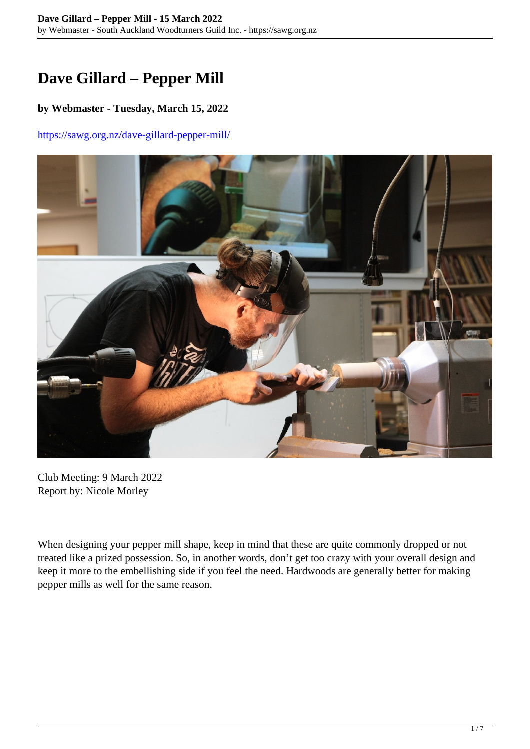## **Dave Gillard – Pepper Mill**

## **by Webmaster - Tuesday, March 15, 2022**

## <https://sawg.org.nz/dave-gillard-pepper-mill/>



Club Meeting: 9 March 2022 Report by: Nicole Morley

When designing your pepper mill shape, keep in mind that these are quite commonly dropped or not treated like a prized possession. So, in another words, don't get too crazy with your overall design and keep it more to the embellishing side if you feel the need. Hardwoods are generally better for making pepper mills as well for the same reason.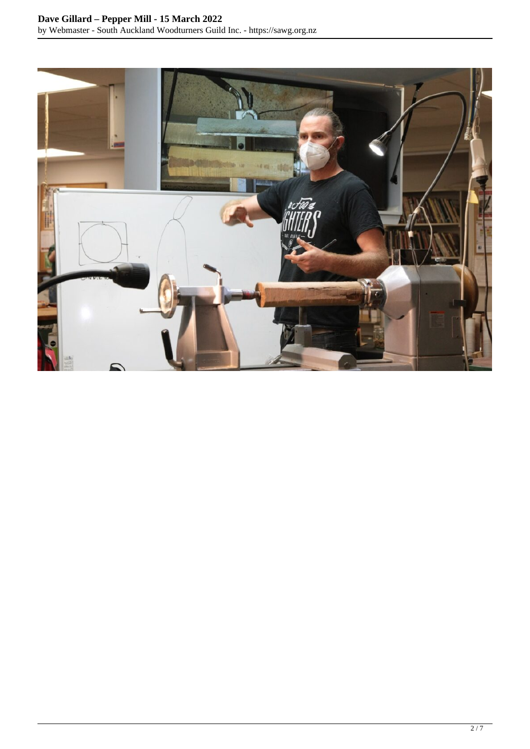## **Dave Gillard – Pepper Mill - 15 March 2022** by Webmaster - South Auckland Woodturners Guild Inc. - https://sawg.org.nz

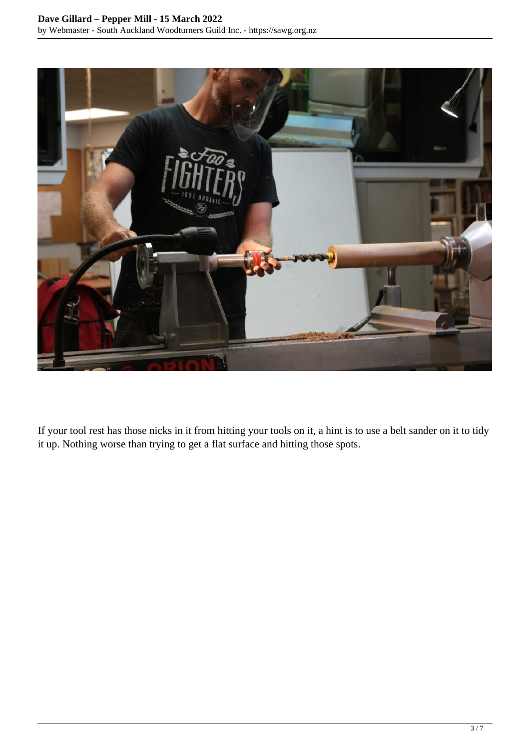

If your tool rest has those nicks in it from hitting your tools on it, a hint is to use a belt sander on it to tidy it up. Nothing worse than trying to get a flat surface and hitting those spots.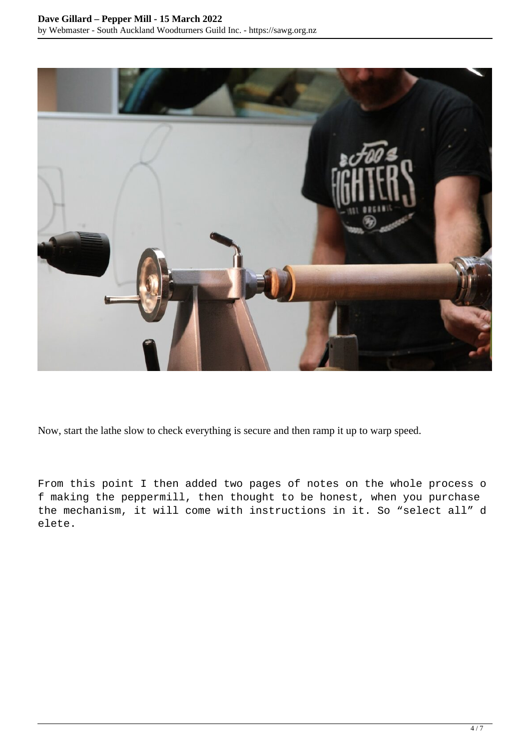

Now, start the lathe slow to check everything is secure and then ramp it up to warp speed.

From this point I then added two pages of notes on the whole process o f making the peppermill, then thought to be honest, when you purchase the mechanism, it will come with instructions in it. So "select all" d elete.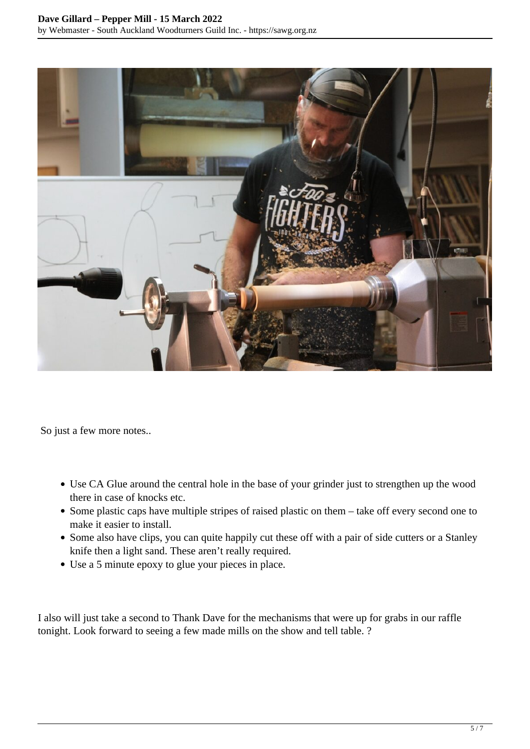

So just a few more notes..

- Use CA Glue around the central hole in the base of your grinder just to strengthen up the wood there in case of knocks etc.
- Some plastic caps have multiple stripes of raised plastic on them take off every second one to make it easier to install.
- Some also have clips, you can quite happily cut these off with a pair of side cutters or a Stanley knife then a light sand. These aren't really required.
- Use a 5 minute epoxy to glue your pieces in place.

I also will just take a second to Thank Dave for the mechanisms that were up for grabs in our raffle tonight. Look forward to seeing a few made mills on the show and tell table. ?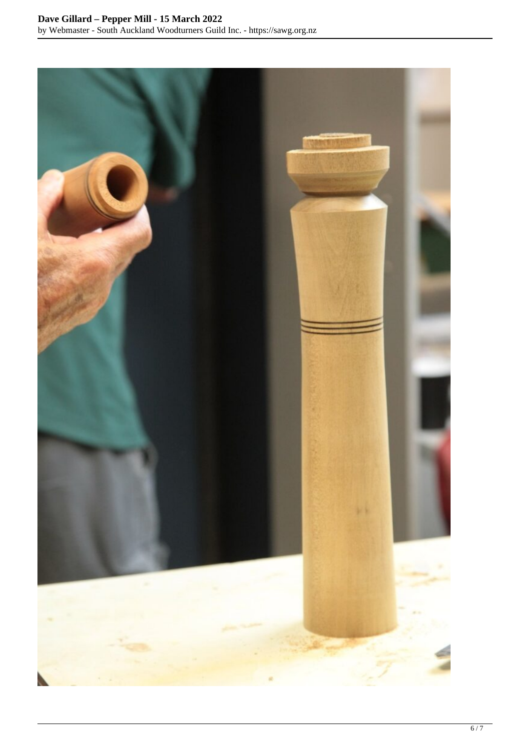